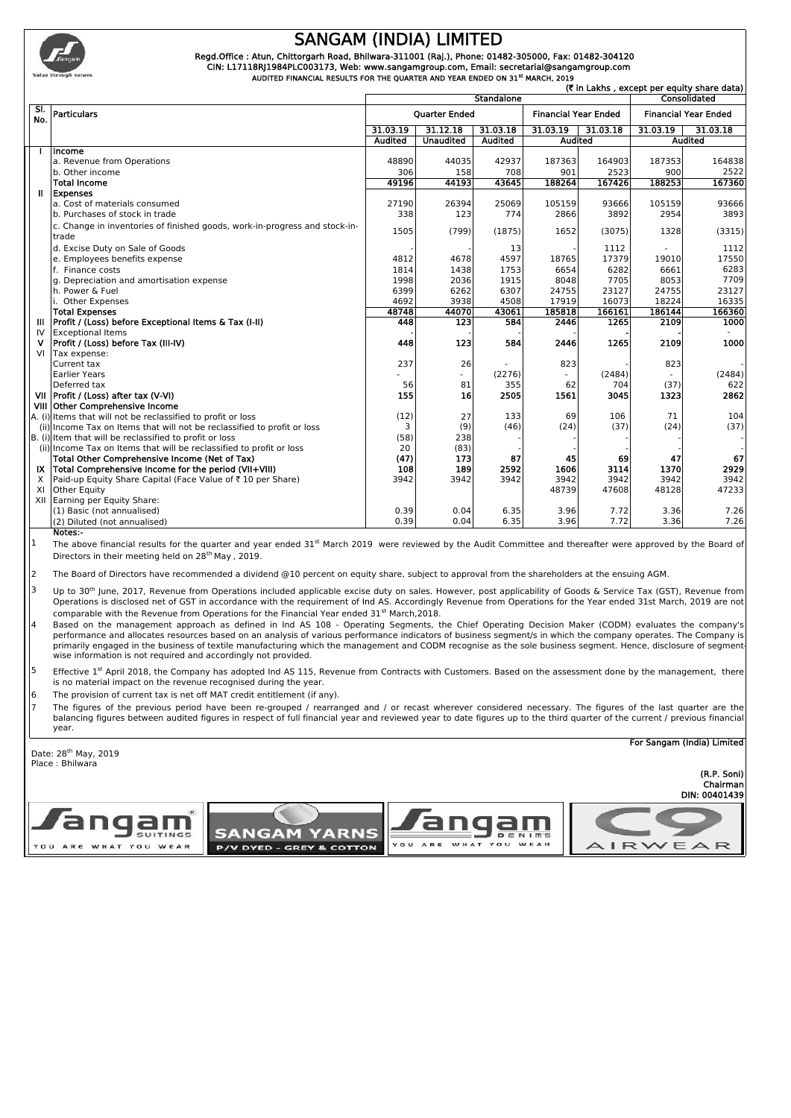

## **SANGAM (INDIA) LIMITED**

 **Regd.Office : Atun, Chittorgarh Road, Bhilwara-311001 (Raj.), Phone: 01482-305000, Fax: 01482-304120 CIN: L17118RJ1984PLC003173, Web: www.sangamgroup.com, Email: secretarial@sangamgroup.com**

 **AUDITED FINANCIAL RESULTS FOR THE QUARTER AND YEAR ENDED ON 31st MARCH, 2019**

|            | (₹ in Lakhs , except per equity share data)                                         |                            |                          |              |                             |              |                             |                             |
|------------|-------------------------------------------------------------------------------------|----------------------------|--------------------------|--------------|-----------------------------|--------------|-----------------------------|-----------------------------|
|            |                                                                                     | Standalone<br>Consolidated |                          |              |                             |              |                             |                             |
| SI.<br>No. | <b>Particulars</b>                                                                  | <b>Ouarter Ended</b>       |                          |              | <b>Financial Year Ended</b> |              | <b>Financial Year Ended</b> |                             |
|            |                                                                                     | 31.03.19                   | 31.12.18                 | 31.03.18     | 31.03.19                    | 31.03.18     | 31.03.19                    | 31.03.18                    |
|            |                                                                                     | <b>Audited</b>             | <b>Unaudited</b>         | Audited      | <b>Audited</b>              |              | <b>Audited</b>              |                             |
|            | Income                                                                              |                            |                          |              |                             |              |                             |                             |
|            | a. Revenue from Operations                                                          | 48890                      | 44035                    | 42937        | 187363                      | 164903       | 187353                      | 164838                      |
|            | b. Other income                                                                     | 306                        | 158                      | 708          | 901                         | 2523         | 900                         | 2522                        |
|            | <b>Total Income</b>                                                                 | 49196                      | 44193                    | 43645        | 188264                      | 167426       | 188253                      | 167360                      |
|            | Expenses                                                                            |                            |                          |              |                             |              |                             |                             |
|            | a. Cost of materials consumed                                                       | 27190                      | 26394                    | 25069        | 105159                      | 93666        | 105159                      | 93666                       |
|            | b. Purchases of stock in trade                                                      | 338                        | 123                      | 774          | 2866                        | 3892         | 2954                        | 3893                        |
|            | c. Change in inventories of finished goods, work-in-progress and stock-in-<br>trade | 1505                       | (799)                    | (1875)       | 1652                        | (3075)       | 1328                        | (3315)                      |
|            | d. Excise Duty on Sale of Goods                                                     |                            |                          | 13           |                             | 1112         |                             | 1112                        |
|            | e. Employees benefits expense                                                       | 4812                       | 4678                     | 4597         | 18765                       | 17379        | 19010                       | 17550                       |
|            | f. Finance costs                                                                    | 1814                       | 1438                     | 1753         | 6654                        | 6282         | 6661                        | 6283                        |
|            | g. Depreciation and amortisation expense                                            | 1998                       | 2036                     | 1915         | 8048                        | 7705         | 8053                        | 7709                        |
|            | h. Power & Fuel                                                                     | 6399                       | 6262                     | 6307         | 24755                       | 23127        | 24755                       | 23127                       |
|            | i. Other Expenses                                                                   | 4692                       | 3938                     | 4508         | 17919                       | 16073        | 18224                       | 16335                       |
|            | <b>Total Expenses</b>                                                               | 48748                      | 44070                    | 43061        | 185818                      | 166161       | 186144                      | 166360                      |
|            | Profit / (Loss) before Exceptional Items & Tax (I-II)                               | 448                        | 123                      | 584          | 2446                        | 1265         | 2109                        | 1000                        |
| IV         | <b>Exceptional Items</b>                                                            |                            |                          |              |                             |              |                             |                             |
| v          | Profit / (Loss) before Tax (III-IV)                                                 | 448                        | 123                      | 584          | 2446                        | 1265         | 2109                        | 1000                        |
| VI         | Tax expense:                                                                        |                            |                          |              |                             |              |                             |                             |
|            | Current tax                                                                         | 237                        | 26                       |              | 823                         |              | 823                         |                             |
|            | <b>Earlier Years</b>                                                                |                            | $\overline{\phantom{0}}$ | (2276)       |                             | (2484)       |                             | (2484)                      |
|            | Deferred tax                                                                        | 56                         | 81                       | 355          | 62                          | 704          | (37)                        | 622                         |
|            | VII Profit / (Loss) after tax (V-VI)                                                | 155                        | 16                       | 2505         | 1561                        | 3045         | 1323                        | 2862                        |
|            |                                                                                     |                            |                          |              |                             |              |                             |                             |
|            | VIII Other Comprehensive Income                                                     |                            |                          |              |                             |              |                             |                             |
|            | A. (i) Items that will not be reclassified to profit or loss                        | (12)                       | 27                       | 133          | 69                          | 106          | 71                          |                             |
|            | (ii) Income Tax on Items that will not be reclassified to profit or loss            | 3                          | (9)                      | (46)         | (24)                        | (37)         | (24)                        |                             |
|            | B. (i) Item that will be reclassified to profit or loss                             | (58)                       | 238                      |              |                             |              |                             |                             |
|            | (ii) Income Tax on Items that will be reclassified to profit or loss                | 20                         | (83)                     |              |                             |              |                             | 104<br>(37)                 |
|            | Total Other Comprehensive Income (Net of Tax)                                       | (47)                       | 173                      | 87           | 45                          | 69           | 47                          |                             |
|            | IX Total Comprehensive Income for the period (VII+VIII)                             | 108                        | 189                      | 2592         | 1606                        | 3114         | 1370                        |                             |
|            | Paid-up Equity Share Capital (Face Value of ₹10 per Share)                          | 3942                       | 3942                     | 3942         | 3942                        | 3942         | 3942                        |                             |
|            | Other Equity                                                                        |                            |                          |              | 48739                       | 47608        | 48128                       | 67<br>2929<br>3942<br>47233 |
|            | XII Earning per Equity Share:                                                       |                            |                          |              |                             |              |                             |                             |
| X<br>XI    | (1) Basic (not annualised)<br>(2) Diluted (not annualised)                          | 0.39<br>0.39               | 0.04<br>0.04             | 6.35<br>6.35 | 3.96<br>3.96                | 7.72<br>7.72 | 3.36<br>3.36                | 7.26<br>7.26                |

The above financial results for the quarter and year ended 31<sup>st</sup> March 2019 were reviewed by the Audit Committee and thereafter were approved by the Board of Directors in their meeting held on 28<sup>th</sup> May, 2019.

2 The Board of Directors have recommended a dividend @10 percent on equity share, subject to approval from the shareholders at the ensuing AGM.

**SANGAM YARNS** 

**P/V DYED - GREY & COTTON** 

3 Up to 30<sup>th</sup> June, 2017, Revenue from Operations included applicable excise duty on sales. However, post applicability of Goods & Service Tax (GST), Revenue from Operations is disclosed net of GST in accordance with the requirement of Ind AS. Accordingly Revenue from Operations for the Year ended 31st March, 2019 are not comparable with the Revenue from Operations for the Financial Year ended 31<sup>st</sup> March,2018.

4 Based on the management approach as defined in Ind AS 108 - Operating Segments, the Chief Operating Decision Maker (CODM) evaluates the company's performance and allocates resources based on an analysis of various performance indicators of business segment/s in which the company operates. The Company is primarily engaged in the business of textile manufacturing which the management and CODM recognise as the sole business segment. Hence, disclosure of segment wise information is not required and accordingly not provided.

<sup>5</sup> Effective 1<sup>st</sup> April 2018, the Company has adopted Ind AS 115, Revenue from Contracts with Customers. Based on the assessment done by the management, there is no material impact on the revenue recognised during the year.

6 The provision of current tax is net off MAT credit entitlement (if any).

7 The figures of the previous period have been re-grouped / rearranged and / or recast wherever considered necessary. The figures of the last quarter are the balancing figures between audited figures in respect of full financial year and reviewed year to date figures up to the third quarter of the current / previous financial year.

angar

YOU ARE WHAT YOU WEAR

 $N$  I m's



SUITINGS

WHAT YOU WEAR

**For Sangam (India) Limited**

**DIN: 00401439 (R.P. Soni) Chairman**

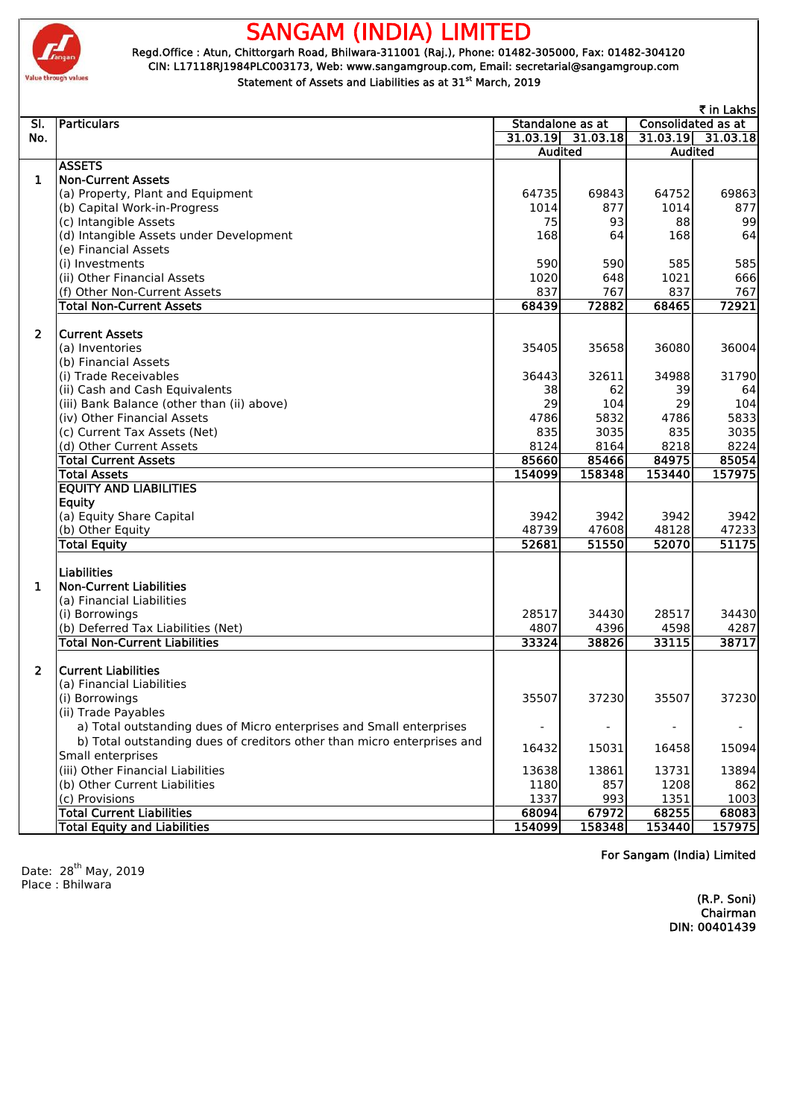

# **SANGAM (INDIA) LIMITED**

 **Regd.Office : Atun, Chittorgarh Road, Bhilwara-311001 (Raj.), Phone: 01482-305000, Fax: 01482-304120 CIN: L17118RJ1984PLC003173, Web: www.sangamgroup.com, Email: secretarial@sangamgroup.com Statement of Assets and Liabilities as at 31st March, 2019**

|                |                                                                         |                          |                          |                           | ₹ in Lakhs          |
|----------------|-------------------------------------------------------------------------|--------------------------|--------------------------|---------------------------|---------------------|
| SI.            | Particulars                                                             |                          | Standalone as at         | <b>Consolidated as at</b> |                     |
| No.            |                                                                         |                          | $31.03.19$ $31.03.18$    |                           | $31.03.19$ 31.03.18 |
|                |                                                                         | <b>Audited</b>           |                          | <b>Audited</b>            |                     |
|                | <b>ASSETS</b>                                                           |                          |                          |                           |                     |
| $\mathbf{1}$   | <b>Non-Current Assets</b>                                               |                          |                          |                           |                     |
|                | (a) Property, Plant and Equipment                                       | 64735                    | 69843                    | 64752                     | 69863               |
|                | (b) Capital Work-in-Progress                                            | 1014                     | 877                      | 1014                      | 877                 |
|                | (c) Intangible Assets                                                   | 75                       | 93                       | 88                        | 99                  |
|                | (d) Intangible Assets under Development                                 | 168                      | 64                       | 168                       | 64                  |
|                | (e) Financial Assets                                                    |                          |                          |                           |                     |
|                | (i) Investments                                                         | 590                      | 590                      | 585                       | 585                 |
|                | (ii) Other Financial Assets                                             | 1020                     | 648                      | 1021                      | 666                 |
|                | (f) Other Non-Current Assets                                            | 837                      | 767                      | 837                       | 767                 |
|                | <b>Total Non-Current Assets</b>                                         | 68439                    | 72882                    | 68465                     | 72921               |
|                |                                                                         |                          |                          |                           |                     |
| $\overline{2}$ | <b>Current Assets</b>                                                   |                          |                          |                           |                     |
|                | (a) Inventories                                                         | 35405                    | 35658                    | 36080                     | 36004               |
|                | (b) Financial Assets                                                    |                          |                          |                           |                     |
|                | (i) Trade Receivables                                                   | 36443                    | 32611                    | 34988                     | 31790               |
|                | (ii) Cash and Cash Equivalents                                          | 38                       | 62                       | 39                        | 64                  |
|                | (iii) Bank Balance (other than (ii) above)                              | 29                       | 104                      | 29                        | 104                 |
|                | (iv) Other Financial Assets                                             | 4786                     | 5832                     | 4786                      | 5833                |
|                | (c) Current Tax Assets (Net)                                            | 835                      | 3035                     | 835                       | 3035                |
|                | (d) Other Current Assets                                                | 8124                     | 8164                     | 8218                      | 8224                |
|                | <b>Total Current Assets</b>                                             | 85660                    | 85466                    | 84975                     | 85054               |
|                | <b>Total Assets</b>                                                     | 154099                   | 158348                   | 153440                    | 157975              |
|                | <b>EQUITY AND LIABILITIES</b>                                           |                          |                          |                           |                     |
|                | <b>Equity</b>                                                           |                          |                          |                           |                     |
|                | (a) Equity Share Capital                                                | 3942                     | 3942                     | 3942                      | 3942                |
|                | (b) Other Equity                                                        | 48739                    | 47608                    | 48128                     | 47233               |
|                | <b>Total Equity</b>                                                     | 52681                    | 51550                    | 52070                     | 51175               |
|                |                                                                         |                          |                          |                           |                     |
|                | <b>Liabilities</b>                                                      |                          |                          |                           |                     |
| 1.             | <b>Non-Current Liabilities</b>                                          |                          |                          |                           |                     |
|                | (a) Financial Liabilities                                               |                          |                          |                           |                     |
|                | (i) Borrowings                                                          | 28517                    | 34430                    | 28517                     | 34430               |
|                | (b) Deferred Tax Liabilities (Net)                                      | 4807                     | 4396                     | 4598                      | 4287                |
|                | <b>Total Non-Current Liabilities</b>                                    | 33324                    | 38826                    | 33115                     | 38717               |
|                |                                                                         |                          |                          |                           |                     |
| $\overline{2}$ | <b>Current Liabilities</b>                                              |                          |                          |                           |                     |
|                | (a) Financial Liabilities                                               |                          |                          |                           |                     |
|                | (i) Borrowings                                                          | 35507                    | 37230                    | 35507                     | 37230               |
|                | (ii) Trade Payables                                                     |                          |                          |                           |                     |
|                | a) Total outstanding dues of Micro enterprises and Small enterprises    | $\overline{\phantom{a}}$ | $\overline{\phantom{a}}$ | $\overline{\phantom{a}}$  | $\blacksquare$      |
|                | b) Total outstanding dues of creditors other than micro enterprises and |                          |                          |                           |                     |
|                | Small enterprises                                                       | 16432                    | 15031                    | 16458                     | 15094               |
|                | (iii) Other Financial Liabilities                                       | 13638                    | 13861                    | 13731                     | 13894               |
|                | (b) Other Current Liabilities                                           | 1180                     | 857                      | 1208                      | 862                 |
|                | (c) Provisions                                                          | 1337                     | 993                      | 1351                      | 1003                |
|                | <b>Total Current Liabilities</b>                                        | 68094                    | 67972                    | 68255                     | 68083               |
|                | <b>Total Equity and Liabilities</b>                                     | 154099                   | 158348                   | 153440                    | 157975              |
|                |                                                                         |                          |                          |                           |                     |

Date: 28<sup>th</sup> May, 2019 Place : Bhilwara

**For Sangam (India) Limited**

**Chairman DIN: 00401439 (R.P. Soni)**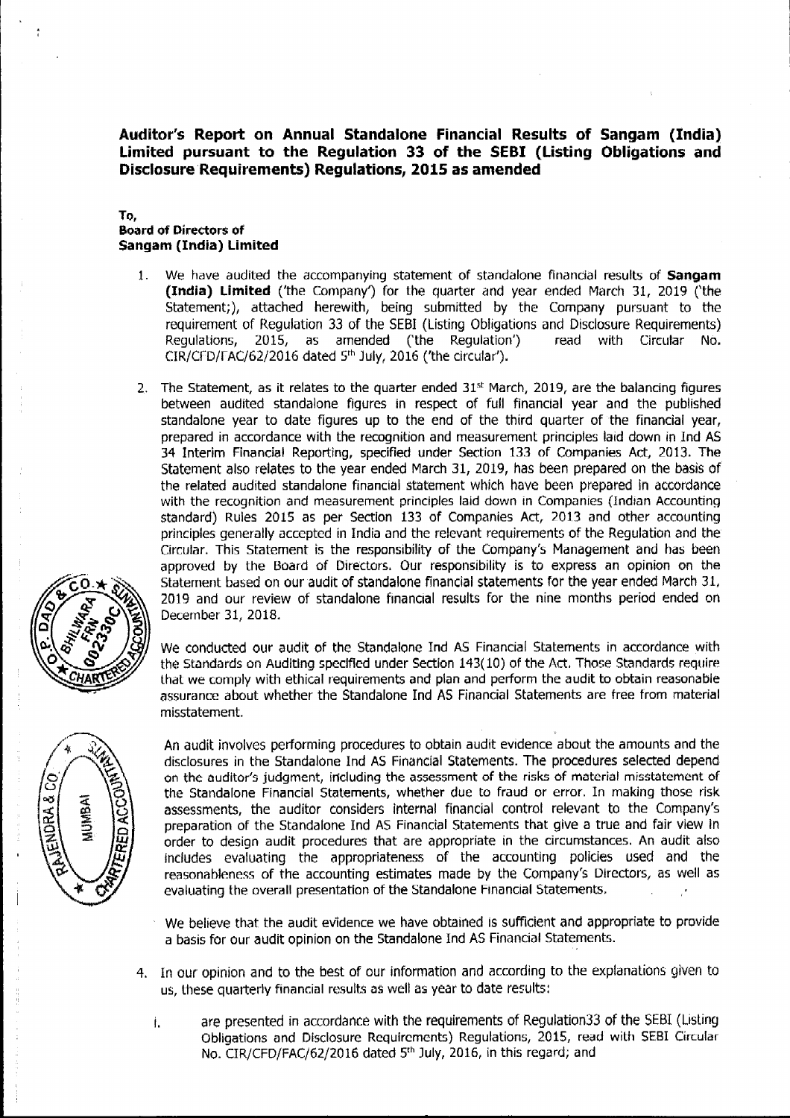**Auditor's Report on Annual Standalone Financial Results of Sangam (India) Limited pursuant to the Regulation 33 of the SEBI (Listing Obligations and Disclosure Requirements) Regulations, 2015 as amended**

#### **To,**

#### **Board of Directors of Sangam (India) Limited**

- 1. We have audited the accompanying statement of standalone financial results of **Sangam (India) Limited** ('the Company') for the quarter and year ended March 31, 2019 ('the Statement;), attached herewith, being submitted by the Company pursuant to the requirement of Regulation 33 of the SEBI (Listing Obligations and Disclosure Requirements) Regulations, 2015, as amended ('the Regulation') read with Circular No. CIR/CfD/fAC/62/2016 dated 5 th July, 2016 ('the circular').
- 2. The Statement, as it relates to the quarter ended  $31<sup>st</sup>$  March, 2019, are the balancing figures between audited standalone figures in respect of full financial year and the published standalone year to date figures up to the end of the third quarter of the financial year, prepared in accordance with the recognition and measurement principles laid down *in* Ind AS 34 Interim Financial Reporting, specified under Section 133 of Companies Act, 2013. The Statement also relates to the year ended March 31, 2019, has been prepared on the basis of the related audited standalone financial statement which have been prepared in accordance with the recognition and measurement principles laid down in Companies (Indian Accounting standard) Rules 2015 as per Section 133 of Companies Act, 2013 and other accounting principles generally accepted in India and the relevant requirements of the Regulation and the Circular. This Statement is the responsibility of the Company's Management and has been approved by the Board of Directors. Our responsibility is to express an opinion on the Statement based on our audit of standalone financial statements for the year ended March 31, 2019 and our review of standalone financial results for the nine months period ended on December 31, 2018.

We conducted our audit of the Standalone Ind AS Financial Statements in accordance with the Standards on Auditing specified under Section 143(10) of the Act. Those Standards require that we comply with ethical requirements and plan and perform the audit to obtain reasonable assurance about whether the Standalone Ind AS Financial Statements are tree from material misstatement.

An audit involves performing procedures to obtain audit evidence about the amounts and the disclosures in the Standalone Ind AS Financial Statements. The procedures selected depend on the auditor's judgment, including the assessment of the risks of material misstatement of the Standalone Financial Statements, whether due to fraud or error. In making those risk assessments, the auditor considers internal financial control relevant to the Company's preparation of the Standalone Ind AS Financial Statements that give a true and fair view in order to design audit procedures that are appropriate in the circumstances. An audit also Includes evaluating the appropriateness of the accounting policies used and the reasonableness of the accounting estimates made by the Company's Directors, as well as evaluating the overall presentation of the Standalone Financial Statements.

- We believe that the audit evidence we have obtained is sufficient and appropriate to provide a basis for our audit opinion on the Standalone Ind AS Financial Statements.
- 4. In our opinion and to the best of our information and according to the explanations given to us, these quarterly financial results as well as year to date results;
	- l. are presented in accordance with the requirements of Regulation33 of the SEBI (Listing Obligations and Disclosure Requirements) Regulations, 2015, read with SEBI Circular No. CIR/CFD/FAC/62/2016 dated 5th July, 2016, in this regard; and



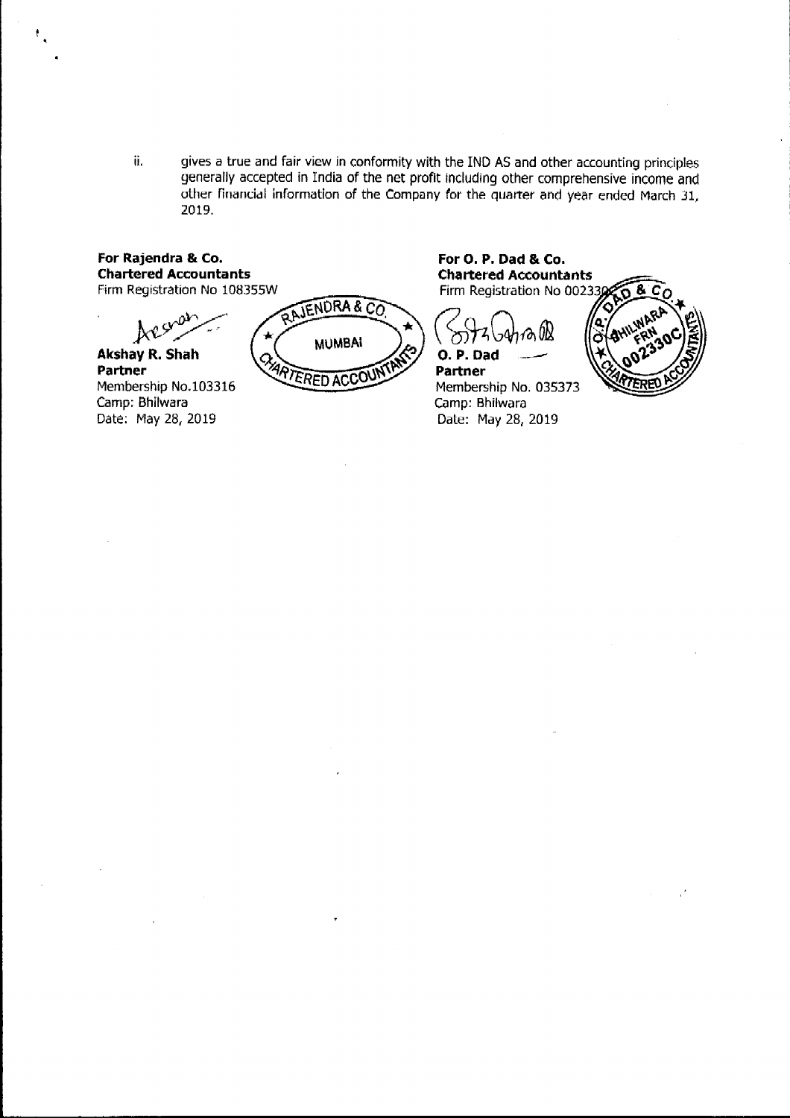ii. gives a true and fair view in conformity with the IND AS and other accounting principles generally accepted in India of the net profit including other comprehensive income and other flnandal information of the Company *for* the quarter and year ended March 31, 2019.

### For Rajendra & Co. **Chartered Accountants** Firm Registration No 108355W

Jx't~:

**Akshay R. Shah Partner** Membership No.103316 Camp; Bhilwara Date: May 28, 2019

**TENDRA&CO MUMBAI** CHART **ERED ACCOL** 

For O. P. Dad & Co. **Chartered Accountants** Firm Registration No 002330

 $($  Sitzbahran $\mathbb{R}$  ) **O.P.Dad** 

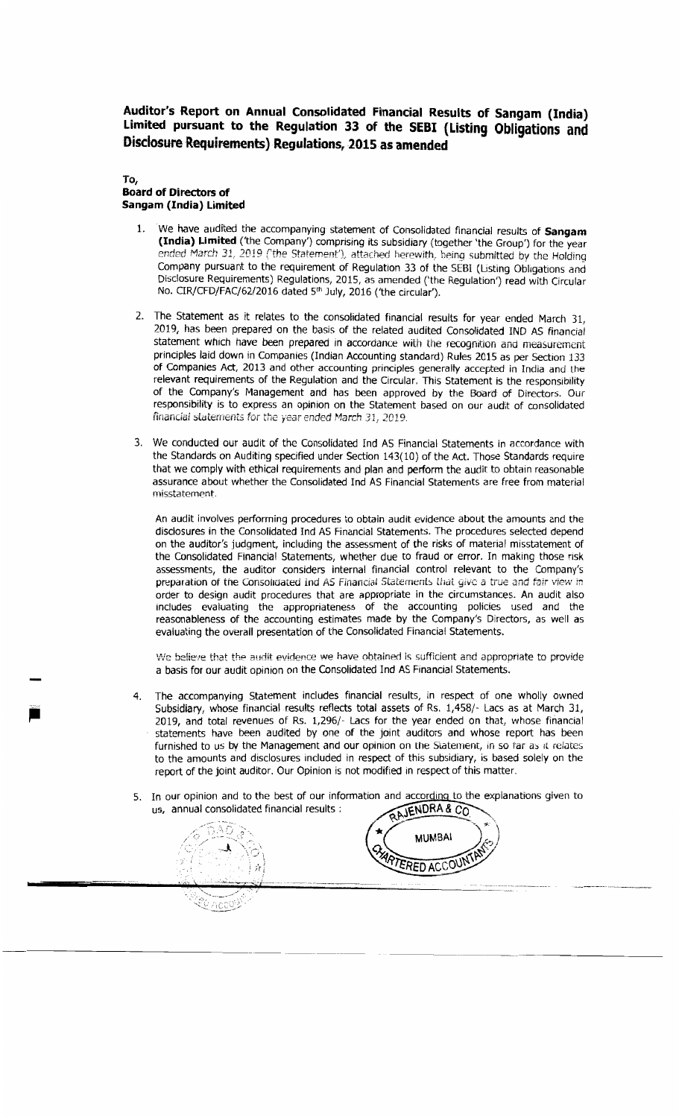Auditor's Report on Annual Consolidated Financial Results of Sangam (India) Limited pursuant to the Regulation 33 of the SEBI (Listing Obligations and Disclosure Requirements) Regulations, 2015 as amended

#### To, **Board of Directors of** Sangam (India) Limited

- 1. We have audited the accompanying statement of Consolidated financial results of Sangam (India) Limited ('the Company') comprising its subsidiary (together 'the Group') for the year ended March 31, 2019 ('the Statement'), attached herewith, being submitted by the Holding Company pursuant to the requirement of Regulation 33 of the SEBI (Listing Obligations and Disclosure Requirements) Regulations, 2015, as amended ('the Regulation') read with Circular No. CIR/CFD/FAC/62/2016 dated 5th July, 2016 ('the circular').
- 2. The Statement as it relates to the consolidated financial results for year ended March 31, 2019, has been prepared on the basis of the related audited Consolidated IND AS financial statement which have been prepared in accordance with the recognition and measurement principles laid down in Companies (Indian Accounting standard) Rules 2015 as per Section 133 of Companies Act, 2013 and other accounting principles generally accepted in India and the relevant requirements of the Regulation and the Circular. This Statement is the responsibility of the Company's Management and has been approved by the Board of Directors. Our responsibility is to express an opinion on the Statement based on our audit of consolidated financial statements for the year ended March 31, 2019.
- $\mathbb{R}^2$ 3. We conducted our a that we comply with ethical requirements and plan and perform the audit to obtain reasonable assurance about whether the Consolidated Ind AS Financial Statements are free from material **ended f** *ended charch 31 <b><i>r charch 31 <b><i>cm* submitted by the Holdinq submitted by the Holdinq submitted by the Holdinq submitted by the Holdinq submitted by the Holdinq submitted by the Holdinq submitted by

An audit involves performing procedures to obtain audit evidence about the amounts and the lisclosures in the Consolidated Ind AS Financial Statements. on the auditor's judgment, including the assessment of the risks of material misstatement of the Consolidated Financial Statements, whether due to fraud or error. In making those risk assessments, the auditor considers internal financial control relevant to the Company's preparation of the Consolidated *hd AS Financial Statements that give a true and fair view in* order to design audit procedures that are appropriate in the circumstances. An audit also includes evaluating the appropriateness of the accounting policies used and the reasonableness of the accounting estimates made by the Company's Directors, as well as evaluating the overall presentation of the Consolidated Financial Statements.

We believe that the audit evidence we have obtained is sufficient and appropriate to provide a basis for our audit opinion on the Consolidated Ind AS Financial Statements.

- The accompanying Statement includes financial results, in respect of one wholly owned 4. Subsidiary, whose financial results reflects total assets of Rs. 1,458/- Lacs as at March 31, 2019, and total revenues of Rs. 1,296/- Lacs for the year ended on that, whose financial statements have been audited by one of the joint auditors and whose report has been furnished to us by the Management and our opinion on the Statement, in so far as it relates to the amounts and disclosures included in respect of this subsidiary, is based solely on the report of the joint auditor. Our Opinion is not modified in respect of this matter.
- 5. In our opinion and to the best of our information and according to the explanations given to us, annual consolidated financial results : us, annual consolidated financial results :

*\iVe* believe that thp audit evidence we have obtaine.i is sufficient and appropriate to provfde

Subsidiary, whose financial results reflects total assets of Rs. 1,458/- Lacs as at March 31, 2019, and total revenues of Rs. 1,296/- Lacs for the year ended on that, whose financial

 $\mathcal{L}_{\text{AUC}}$ 



preparation of the Consolidated Ind AS financial Statement;, 1.ikit *giv(;* a true and *fair* view *in* order to design and the circumstances that are appropriate in the circumstances. An audit aisomorphism of  $\mathcal{L}^{\bullet}$  (  $\mathcal{L}$  and  $\mathcal{L}$  and  $\mathcal{L}$  are appropriate in the circumstances. An audit aisomorphism of  $\$ includes the appropriateness of the accounting policies used and the accounting policies used and the accounting policies used and the accounting policies used and the accounting policies used and the accounting policies u  $\sqrt{4\rho_{\rm F}}$ evaluation the overall presentation of the Constantine Constantine Statements.